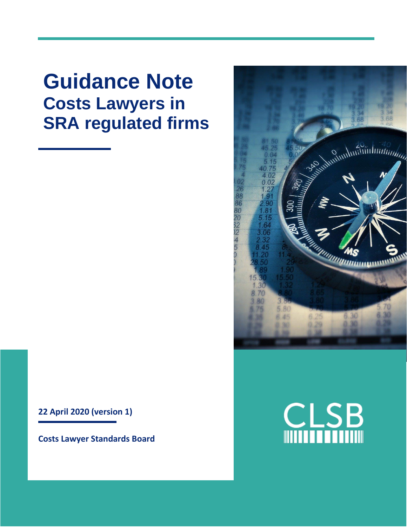**Guidance Note Costs Lawyers in SRA regulated firms**



**Costs Lawyer Standards Board**



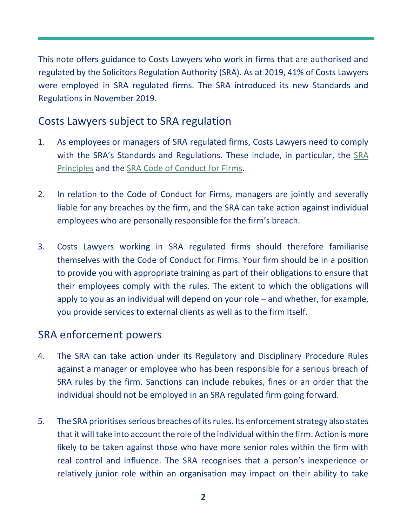This note offers guidance to Costs Lawyers who work in firms that are authorised and regulated by the Solicitors Regulation Authority (SRA). As at 2019, 41% of Costs Lawyers were employed in SRA regulated firms. The SRA introduced its new Standards and Regulations in November 2019.

## Costs Lawyers subject to SRA regulation

- 1. As employees or managers of SRA regulated firms, Costs Lawyers need to comply with the SRA's Standards and Regulations. These include, in particular, the [SRA](https://www.sra.org.uk/solicitors/standards-regulations/principles/)  [Principles](https://www.sra.org.uk/solicitors/standards-regulations/principles/) and the [SRA Code of Conduct for Firms.](https://www.sra.org.uk/solicitors/standards-regulations/code-conduct-firms/)
- 2. In relation to the Code of Conduct for Firms, managers are jointly and severally liable for any breaches by the firm, and the SRA can take action against individual employees who are personally responsible for the firm's breach.
- 3. Costs Lawyers working in SRA regulated firms should therefore familiarise themselves with the Code of Conduct for Firms. Your firm should be in a position to provide you with appropriate training as part of their obligations to ensure that their employees comply with the rules. The extent to which the obligations will apply to you as an individual will depend on your role – and whether, for example, you provide services to external clients as well as to the firm itself.

## SRA enforcement powers

- 4. The SRA can take action under its Regulatory and Disciplinary Procedure Rules against a manager or employee who has been responsible for a serious breach of SRA rules by the firm. Sanctions can include rebukes, fines or an order that the individual should not be employed in an SRA regulated firm going forward.
- 5. The SRA prioritises serious breaches of its rules. Its enforcement strategy also states that it will take into account the role of the individual within the firm. Action is more likely to be taken against those who have more senior roles within the firm with real control and influence. The SRA recognises that a person's inexperience or relatively junior role within an organisation may impact on their ability to take